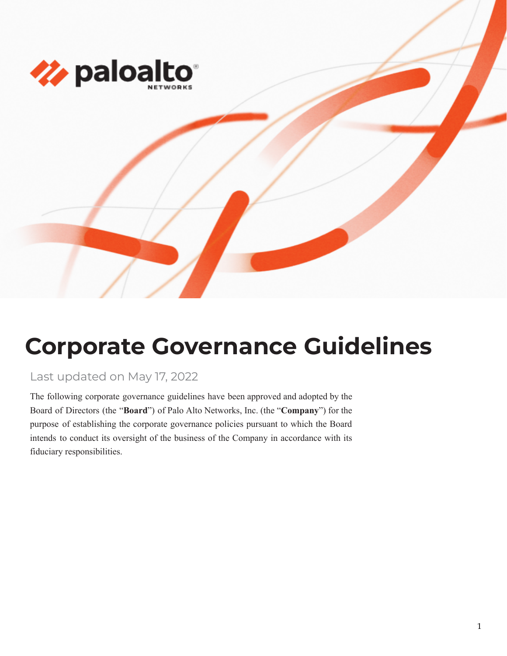

# **Corporate Governance Guidelines**

# Last updated on May 17, 2022

The following corporate governance guidelines have been approved and adopted by the Board of Directors (the "**Board**") of Palo Alto Networks, Inc. (the "**Company**") for the purpose of establishing the corporate governance policies pursuant to which the Board intends to conduct its oversight of the business of the Company in accordance with its fiduciary responsibilities.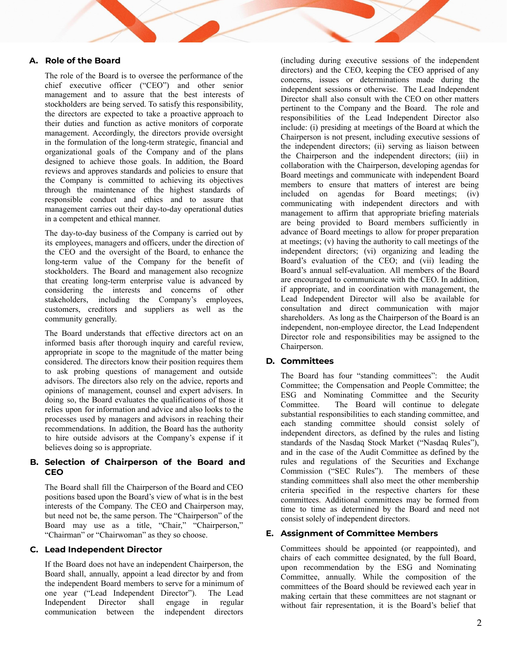# **A. Role of the Board**

The role of the Board is to oversee the performance of the chief executive officer ("CEO") and other senior management and to assure that the best interests of stockholders are being served. To satisfy this responsibility, the directors are expected to take a proactive approach to their duties and function as active monitors of corporate management. Accordingly, the directors provide oversight in the formulation of the long-term strategic, financial and organizational goals of the Company and of the plans designed to achieve those goals. In addition, the Board reviews and approves standards and policies to ensure that the Company is committed to achieving its objectives through the maintenance of the highest standards of responsible conduct and ethics and to assure that management carries out their day-to-day operational duties in a competent and ethical manner.

The day-to-day business of the Company is carried out by its employees, managers and officers, under the direction of the CEO and the oversight of the Board, to enhance the long-term value of the Company for the benefit of stockholders. The Board and management also recognize that creating long-term enterprise value is advanced by considering the interests and concerns of other stakeholders, including the Company's employees, customers, creditors and suppliers as well as the community generally.

The Board understands that effective directors act on an informed basis after thorough inquiry and careful review, appropriate in scope to the magnitude of the matter being considered. The directors know their position requires them to ask probing questions of management and outside advisors. The directors also rely on the advice, reports and opinions of management, counsel and expert advisers. In doing so, the Board evaluates the qualifications of those it relies upon for information and advice and also looks to the processes used by managers and advisors in reaching their recommendations. In addition, the Board has the authority to hire outside advisors at the Company's expense if it believes doing so is appropriate.

# **B. Selection of Chairperson of the Board and CEO**

The Board shall fill the Chairperson of the Board and CEO positions based upon the Board's view of what is in the best interests of the Company. The CEO and Chairperson may, but need not be, the same person. The "Chairperson" of the Board may use as a title, "Chair," "Chairperson," "Chairman" or "Chairwoman" as they so choose.

# **C. Lead Independent Director**

If the Board does not have an independent Chairperson, the Board shall, annually, appoint a lead director by and from the independent Board members to serve for a minimum of one year ("Lead Independent Director"). The Lead Independent Director shall engage in regular communication between the independent directors

(including during executive sessions of the independent directors) and the CEO, keeping the CEO apprised of any concerns, issues or determinations made during the independent sessions or otherwise. The Lead Independent Director shall also consult with the CEO on other matters pertinent to the Company and the Board. The role and responsibilities of the Lead Independent Director also include: (i) presiding at meetings of the Board at which the Chairperson is not present, including executive sessions of the independent directors; (ii) serving as liaison between the Chairperson and the independent directors; (iii) in collaboration with the Chairperson, developing agendas for Board meetings and communicate with independent Board members to ensure that matters of interest are being included on agendas for Board meetings; (iv) communicating with independent directors and with management to affirm that appropriate briefing materials are being provided to Board members sufficiently in advance of Board meetings to allow for proper preparation at meetings; (v) having the authority to call meetings of the independent directors; (vi) organizing and leading the Board's evaluation of the CEO; and (vii) leading the Board's annual self-evaluation. All members of the Board are encouraged to communicate with the CEO. In addition, if appropriate, and in coordination with management, the Lead Independent Director will also be available for consultation and direct communication with major shareholders. As long as the Chairperson of the Board is an independent, non-employee director, the Lead Independent Director role and responsibilities may be assigned to the Chairperson.

# **D. Committees**

The Board has four "standing committees": the Audit Committee; the Compensation and People Committee; the ESG and Nominating Committee and the Security Committee. The Board will continue to delegate substantial responsibilities to each standing committee, and each standing committee should consist solely of independent directors, as defined by the rules and listing standards of the Nasdaq Stock Market ("Nasdaq Rules"), and in the case of the Audit Committee as defined by the rules and regulations of the Securities and Exchange Commission ("SEC Rules"). The members of these standing committees shall also meet the other membership criteria specified in the respective charters for these committees. Additional committees may be formed from time to time as determined by the Board and need not consist solely of independent directors.

# **E. Assignment of Committee Members**

Committees should be appointed (or reappointed), and chairs of each committee designated, by the full Board, upon recommendation by the ESG and Nominating Committee, annually. While the composition of the committees of the Board should be reviewed each year in making certain that these committees are not stagnant or without fair representation, it is the Board's belief that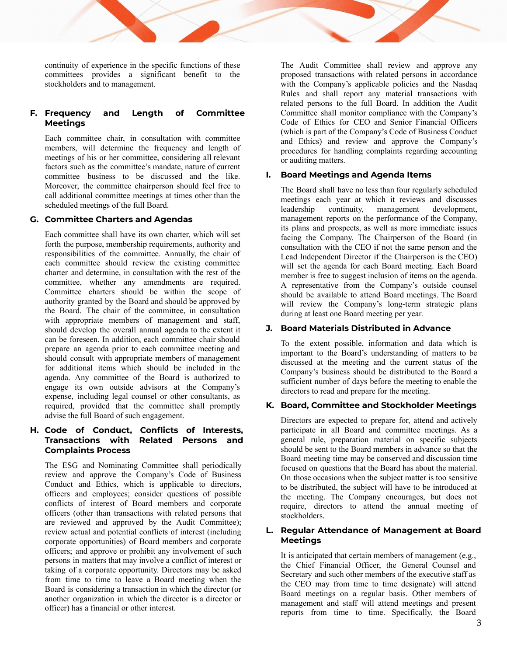continuity of experience in the specific functions of these committees provides a significant benefit to the stockholders and to management.

# **F. Frequency and Length of Committee Meetings**

Each committee chair, in consultation with committee members, will determine the frequency and length of meetings of his or her committee, considering all relevant factors such as the committee's mandate, nature of current committee business to be discussed and the like. Moreover, the committee chairperson should feel free to call additional committee meetings at times other than the scheduled meetings of the full Board.

#### **G. Committee Charters and Agendas**

Each committee shall have its own charter, which will set forth the purpose, membership requirements, authority and responsibilities of the committee. Annually, the chair of each committee should review the existing committee charter and determine, in consultation with the rest of the committee, whether any amendments are required. Committee charters should be within the scope of authority granted by the Board and should be approved by the Board. The chair of the committee, in consultation with appropriate members of management and staff, should develop the overall annual agenda to the extent it can be foreseen. In addition, each committee chair should prepare an agenda prior to each committee meeting and should consult with appropriate members of management for additional items which should be included in the agenda. Any committee of the Board is authorized to engage its own outside advisors at the Company's expense, including legal counsel or other consultants, as required, provided that the committee shall promptly advise the full Board of such engagement.

# **H. Code of Conduct, Conflicts of Interests, Transactions with Related Persons and Complaints Process**

The ESG and Nominating Committee shall periodically review and approve the Company's Code of Business Conduct and Ethics, which is applicable to directors, officers and employees; consider questions of possible conflicts of interest of Board members and corporate officers (other than transactions with related persons that are reviewed and approved by the Audit Committee); review actual and potential conflicts of interest (including corporate opportunities) of Board members and corporate officers; and approve or prohibit any involvement of such persons in matters that may involve a conflict of interest or taking of a corporate opportunity. Directors may be asked from time to time to leave a Board meeting when the Board is considering a transaction in which the director (or another organization in which the director is a director or officer) has a financial or other interest.

The Audit Committee shall review and approve any proposed transactions with related persons in accordance with the Company's applicable policies and the Nasdaq Rules and shall report any material transactions with related persons to the full Board. In addition the Audit Committee shall monitor compliance with the Company's Code of Ethics for CEO and Senior Financial Officers (which is part of the Company's Code of Business Conduct and Ethics) and review and approve the Company's procedures for handling complaints regarding accounting or auditing matters.

#### **I. Board Meetings and Agenda Items**

The Board shall have no less than four regularly scheduled meetings each year at which it reviews and discusses leadership continuity, management development, management reports on the performance of the Company, its plans and prospects, as well as more immediate issues facing the Company. The Chairperson of the Board (in consultation with the CEO if not the same person and the Lead Independent Director if the Chairperson is the CEO) will set the agenda for each Board meeting. Each Board member is free to suggest inclusion of items on the agenda. A representative from the Company's outside counsel should be available to attend Board meetings. The Board will review the Company's long-term strategic plans during at least one Board meeting per year.

# **J. Board Materials Distributed in Advance**

To the extent possible, information and data which is important to the Board's understanding of matters to be discussed at the meeting and the current status of the Company's business should be distributed to the Board a sufficient number of days before the meeting to enable the directors to read and prepare for the meeting.

# **K. Board, Committee and Stockholder Meetings**

Directors are expected to prepare for, attend and actively participate in all Board and committee meetings. As a general rule, preparation material on specific subjects should be sent to the Board members in advance so that the Board meeting time may be conserved and discussion time focused on questions that the Board has about the material. On those occasions when the subject matter is too sensitive to be distributed, the subject will have to be introduced at the meeting. The Company encourages, but does not require, directors to attend the annual meeting of stockholders.

# **L. Regular Attendance of Management at Board Meetings**

It is anticipated that certain members of management (e.g., the Chief Financial Officer, the General Counsel and Secretary and such other members of the executive staff as the CEO may from time to time designate) will attend Board meetings on a regular basis. Other members of management and staff will attend meetings and present reports from time to time. Specifically, the Board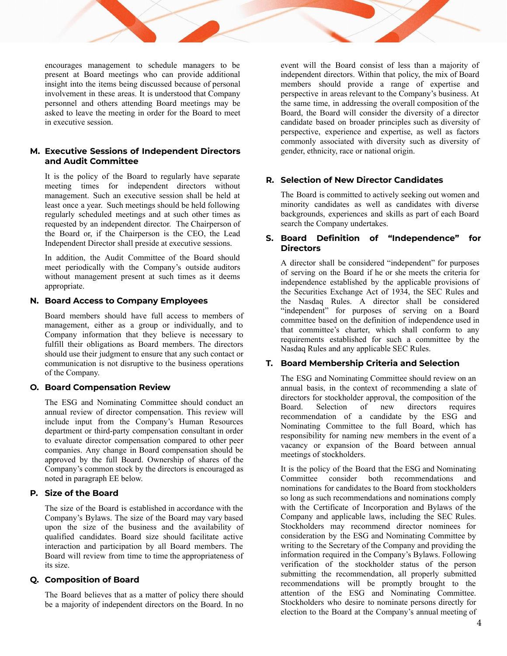encourages management to schedule managers to be present at Board meetings who can provide additional insight into the items being discussed because of personal involvement in these areas. It is understood that Company personnel and others attending Board meetings may be asked to leave the meeting in order for the Board to meet in executive session.

# **M. Executive Sessions of Independent Directors and Audit Committee**

It is the policy of the Board to regularly have separate meeting times for independent directors without management. Such an executive session shall be held at least once a year. Such meetings should be held following regularly scheduled meetings and at such other times as requested by an independent director. The Chairperson of the Board or, if the Chairperson is the CEO, the Lead Independent Director shall preside at executive sessions.

In addition, the Audit Committee of the Board should meet periodically with the Company's outside auditors without management present at such times as it deems appropriate.

#### **N. Board Access to Company Employees**

Board members should have full access to members of management, either as a group or individually, and to Company information that they believe is necessary to fulfill their obligations as Board members. The directors should use their judgment to ensure that any such contact or communication is not disruptive to the business operations of the Company.

#### **O. Board Compensation Review**

The ESG and Nominating Committee should conduct an annual review of director compensation. This review will include input from the Company's Human Resources department or third-party compensation consultant in order to evaluate director compensation compared to other peer companies. Any change in Board compensation should be approved by the full Board. Ownership of shares of the Company's common stock by the directors is encouraged as noted in paragraph EE below.

# **P. Size of the Board**

The size of the Board is established in accordance with the Company's Bylaws. The size of the Board may vary based upon the size of the business and the availability of qualified candidates. Board size should facilitate active interaction and participation by all Board members. The Board will review from time to time the appropriateness of its size.

#### **Q. Composition of Board**

The Board believes that as a matter of policy there should be a majority of independent directors on the Board. In no event will the Board consist of less than a majority of independent directors. Within that policy, the mix of Board members should provide a range of expertise and perspective in areas relevant to the Company's business. At the same time, in addressing the overall composition of the Board, the Board will consider the diversity of a director candidate based on broader principles such as diversity of perspective, experience and expertise, as well as factors commonly associated with diversity such as diversity of gender, ethnicity, race or national origin.

#### **R. Selection of New Director Candidates**

The Board is committed to actively seeking out women and minority candidates as well as candidates with diverse backgrounds, experiences and skills as part of each Board search the Company undertakes.

# **S. Board Definition of "Independence" for Directors**

A director shall be considered "independent" for purposes of serving on the Board if he or she meets the criteria for independence established by the applicable provisions of the Securities Exchange Act of 1934, the SEC Rules and the Nasdaq Rules. A director shall be considered "independent" for purposes of serving on a Board committee based on the definition of independence used in that committee's charter, which shall conform to any requirements established for such a committee by the Nasdaq Rules and any applicable SEC Rules.

#### **T. Board Membership Criteria and Selection**

The ESG and Nominating Committee should review on an annual basis, in the context of recommending a slate of directors for stockholder approval, the composition of the Board. Selection of new directors requires recommendation of a candidate by the ESG and Nominating Committee to the full Board, which has responsibility for naming new members in the event of a vacancy or expansion of the Board between annual meetings of stockholders.

It is the policy of the Board that the ESG and Nominating Committee consider both recommendations and nominations for candidates to the Board from stockholders so long as such recommendations and nominations comply with the Certificate of Incorporation and Bylaws of the Company and applicable laws, including the SEC Rules. Stockholders may recommend director nominees for consideration by the ESG and Nominating Committee by writing to the Secretary of the Company and providing the information required in the Company's Bylaws. Following verification of the stockholder status of the person submitting the recommendation, all properly submitted recommendations will be promptly brought to the attention of the ESG and Nominating Committee. Stockholders who desire to nominate persons directly for election to the Board at the Company's annual meeting of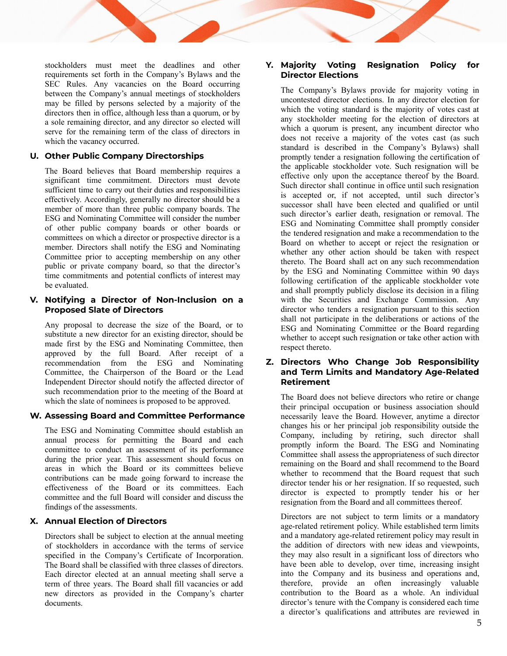stockholders must meet the deadlines and other requirements set forth in the Company's Bylaws and the SEC Rules. Any vacancies on the Board occurring between the Company's annual meetings of stockholders may be filled by persons selected by a majority of the directors then in office, although less than a quorum, or by a sole remaining director, and any director so elected will serve for the remaining term of the class of directors in which the vacancy occurred.

# **U. Other Public Company Directorships**

The Board believes that Board membership requires a significant time commitment. Directors must devote sufficient time to carry out their duties and responsibilities effectively. Accordingly, generally no director should be a member of more than three public company boards. The ESG and Nominating Committee will consider the number of other public company boards or other boards or committees on which a director or prospective director is a member. Directors shall notify the ESG and Nominating Committee prior to accepting membership on any other public or private company board, so that the director's time commitments and potential conflicts of interest may be evaluated.

# **V. Notifying a Director of Non-Inclusion on a Proposed Slate of Directors**

Any proposal to decrease the size of the Board, or to substitute a new director for an existing director, should be made first by the ESG and Nominating Committee, then approved by the full Board. After receipt of a recommendation from the ESG and Nominating Committee, the Chairperson of the Board or the Lead Independent Director should notify the affected director of such recommendation prior to the meeting of the Board at which the slate of nominees is proposed to be approved.

# **W. Assessing Board and Committee Performance**

The ESG and Nominating Committee should establish an annual process for permitting the Board and each committee to conduct an assessment of its performance during the prior year. This assessment should focus on areas in which the Board or its committees believe contributions can be made going forward to increase the effectiveness of the Board or its committees. Each committee and the full Board will consider and discuss the findings of the assessments.

# **X. Annual Election of Directors**

Directors shall be subject to election at the annual meeting of stockholders in accordance with the terms of service specified in the Company's Certificate of Incorporation. The Board shall be classified with three classes of directors. Each director elected at an annual meeting shall serve a term of three years. The Board shall fill vacancies or add new directors as provided in the Company's charter documents.

# **Y. Majority Voting Resignation Policy for Director Elections**

The Company's Bylaws provide for majority voting in uncontested director elections. In any director election for which the voting standard is the majority of votes cast at any stockholder meeting for the election of directors at which a quorum is present, any incumbent director who does not receive a majority of the votes cast (as such standard is described in the Company's Bylaws) shall promptly tender a resignation following the certification of the applicable stockholder vote. Such resignation will be effective only upon the acceptance thereof by the Board. Such director shall continue in office until such resignation is accepted or, if not accepted, until such director's successor shall have been elected and qualified or until such director's earlier death, resignation or removal. The ESG and Nominating Committee shall promptly consider the tendered resignation and make a recommendation to the Board on whether to accept or reject the resignation or whether any other action should be taken with respect thereto. The Board shall act on any such recommendation by the ESG and Nominating Committee within 90 days following certification of the applicable stockholder vote and shall promptly publicly disclose its decision in a filing with the Securities and Exchange Commission. Any director who tenders a resignation pursuant to this section shall not participate in the deliberations or actions of the ESG and Nominating Committee or the Board regarding whether to accept such resignation or take other action with respect thereto.

# **Z. Directors Who Change Job Responsibility and Term Limits and Mandatory Age-Related Retirement**

The Board does not believe directors who retire or change their principal occupation or business association should necessarily leave the Board. However, anytime a director changes his or her principal job responsibility outside the Company, including by retiring, such director shall promptly inform the Board. The ESG and Nominating Committee shall assess the appropriateness of such director remaining on the Board and shall recommend to the Board whether to recommend that the Board request that such director tender his or her resignation. If so requested, such director is expected to promptly tender his or her resignation from the Board and all committees thereof.

Directors are not subject to term limits or a mandatory age-related retirement policy. While established term limits and a mandatory age-related retirement policy may result in the addition of directors with new ideas and viewpoints, they may also result in a significant loss of directors who have been able to develop, over time, increasing insight into the Company and its business and operations and, therefore, provide an often increasingly valuable contribution to the Board as a whole. An individual director's tenure with the Company is considered each time a director's qualifications and attributes are reviewed in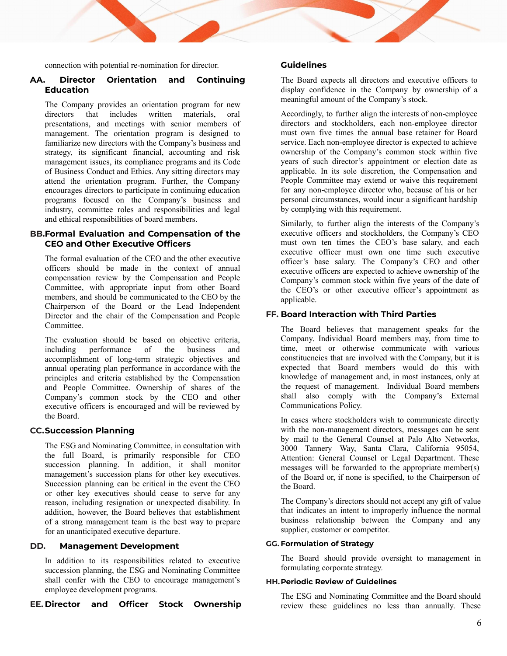connection with potential re-nomination for director.

# **AA. Director Orientation and Continuing Education**

The Company provides an orientation program for new directors that includes written materials, oral presentations, and meetings with senior members of management. The orientation program is designed to familiarize new directors with the Company's business and strategy, its significant financial, accounting and risk management issues, its compliance programs and its Code of Business Conduct and Ethics. Any sitting directors may attend the orientation program. Further, the Company encourages directors to participate in continuing education programs focused on the Company's business and industry, committee roles and responsibilities and legal and ethical responsibilities of board members.

#### **BB.Formal Evaluation and Compensation of the CEO and Other Executive Officers**

The formal evaluation of the CEO and the other executive officers should be made in the context of annual compensation review by the Compensation and People Committee, with appropriate input from other Board members, and should be communicated to the CEO by the Chairperson of the Board or the Lead Independent Director and the chair of the Compensation and People Committee.

The evaluation should be based on objective criteria, including performance of the business and accomplishment of long-term strategic objectives and annual operating plan performance in accordance with the principles and criteria established by the Compensation and People Committee. Ownership of shares of the Company's common stock by the CEO and other executive officers is encouraged and will be reviewed by the Board.

# **CC.Succession Planning**

The ESG and Nominating Committee, in consultation with the full Board, is primarily responsible for CEO succession planning. In addition, it shall monitor management's succession plans for other key executives. Succession planning can be critical in the event the CEO or other key executives should cease to serve for any reason, including resignation or unexpected disability. In addition, however, the Board believes that establishment of a strong management team is the best way to prepare for an unanticipated executive departure.

#### **DD. Management Development**

In addition to its responsibilities related to executive succession planning, the ESG and Nominating Committee shall confer with the CEO to encourage management's employee development programs.

**EE. Director and Officer Stock Ownership**

#### **Guidelines**

The Board expects all directors and executive officers to display confidence in the Company by ownership of a meaningful amount of the Company's stock.

Accordingly, to further align the interests of non-employee directors and stockholders, each non-employee director must own five times the annual base retainer for Board service. Each non-employee director is expected to achieve ownership of the Company's common stock within five years of such director's appointment or election date as applicable. In its sole discretion, the Compensation and People Committee may extend or waive this requirement for any non-employee director who, because of his or her personal circumstances, would incur a significant hardship by complying with this requirement.

Similarly, to further align the interests of the Company's executive officers and stockholders, the Company's CEO must own ten times the CEO's base salary, and each executive officer must own one time such executive officer's base salary. The Company's CEO and other executive officers are expected to achieve ownership of the Company's common stock within five years of the date of the CEO's or other executive officer's appointment as applicable.

#### **FF. Board Interaction with Third Parties**

The Board believes that management speaks for the Company. Individual Board members may, from time to time, meet or otherwise communicate with various constituencies that are involved with the Company, but it is expected that Board members would do this with knowledge of management and, in most instances, only at the request of management. Individual Board members shall also comply with the Company's External Communications Policy.

In cases where stockholders wish to communicate directly with the non-management directors, messages can be sent by mail to the General Counsel at Palo Alto Networks, 3000 Tannery Way, Santa Clara, California 95054, Attention: General Counsel or Legal Department. These messages will be forwarded to the appropriate member(s) of the Board or, if none is specified, to the Chairperson of the Board.

The Company's directors should not accept any gift of value that indicates an intent to improperly influence the normal business relationship between the Company and any supplier, customer or competitor.

#### **GG. Formulation of Strategy**

The Board should provide oversight to management in formulating corporate strategy.

#### **HH.Periodic Review of Guidelines**

The ESG and Nominating Committee and the Board should review these guidelines no less than annually. These